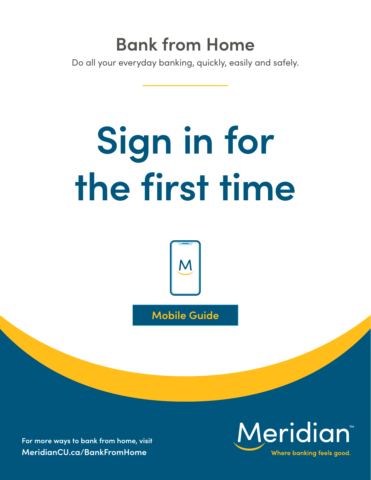# **Bank from Home**

Do all your everyday banking, quickly, easily and safely.

# **Sign in for the first time**



**Mobile Guide**

**For more ways to bank from home, visit [MeridianCU.ca/BankFromHome](http://MeridianCU.ca/BankFromHome)**

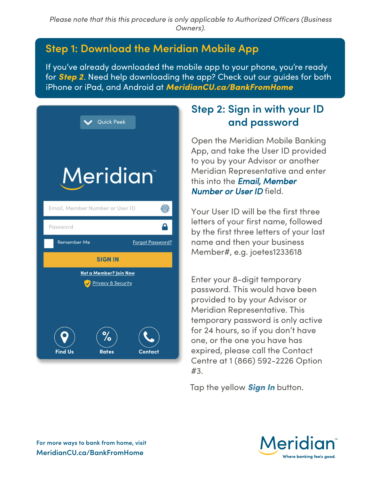#### **Step 1: Download the Meridian Mobile App**

If you've already downloaded the mobile app to your phone, you're ready for *Step 2*. Need help downloading the app? Check out our guides for both iPhone or iPad, and Android at *[MeridianCU.ca/BankFromHome](http://MeridianCU.ca/BankFromHome)*

| <b>Quick Peek</b>               |                         |
|---------------------------------|-------------------------|
| <b>Meridian</b>                 |                         |
| Email, Member Number or User ID |                         |
| Password                        |                         |
|                                 |                         |
| <b>Remember Me</b>              | <b>Forgot Password?</b> |
| <b>SIGN IN</b>                  |                         |
| Not a Member? Join Now          |                         |
| <b>Privacy &amp; Security</b>   |                         |

### **Step 2: Sign in with your ID and password**

Open the Meridian Mobile Banking App, and take the User ID provided to you by your Advisor or another Meridian Representative and enter this into the *Email, Member Number or User ID* field.

Your User ID will be the first three letters of your first name, followed by the first three letters of your last name and then your business Member#, e.g. joetes1233618

Enter your 8-digit temporary password. This would have been provided to by your Advisor or Meridian Representative. This temporary password is only active for 24 hours, so if you don't have one, or the one you have has expired, please call the Contact Centre at 1 (866) 592-2226 Option #3.

Tap the yellow *Sign In* button.

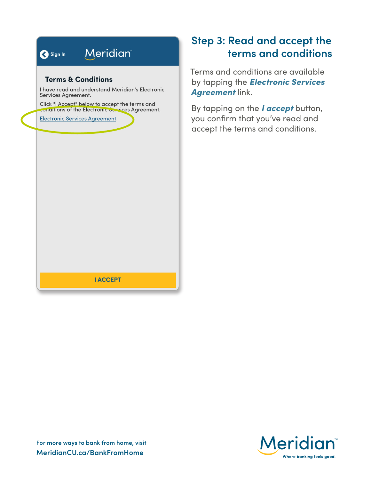#### **Meridian** Sign In **Terms & Conditions**

I have read and understand Meridian's Electronic Services Agreement.

Click "I Accept" below to accept the terms and conditions of the Electronic Services Agreement.

**Electronic Services Agreement** 

#### **Step 3: Read and accept the terms and conditions**

Terms and conditions are available by tapping the *Electronic Services Agreement* link.

By tapping on the *I accept* button, you confirm that you've read and accept the terms and conditions.

**I ACCEPT** 

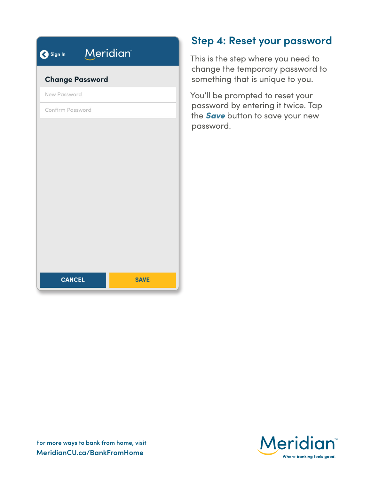| Sign In                | <b>Meridian</b> |
|------------------------|-----------------|
| <b>Change Password</b> |                 |
| New Password           |                 |
| Confirm Password       |                 |
|                        |                 |
|                        |                 |
|                        |                 |
|                        |                 |
|                        |                 |
|                        |                 |
|                        |                 |
|                        |                 |
|                        |                 |
| <b>CANCEL</b>          | <b>SAVE</b>     |
|                        |                 |

#### **Step 4: Reset your password**

This is the step where you need to change the temporary password to something that is unique to you.

You'll be prompted to reset your password by entering it twice. Tap the *Save* button to save your new password.